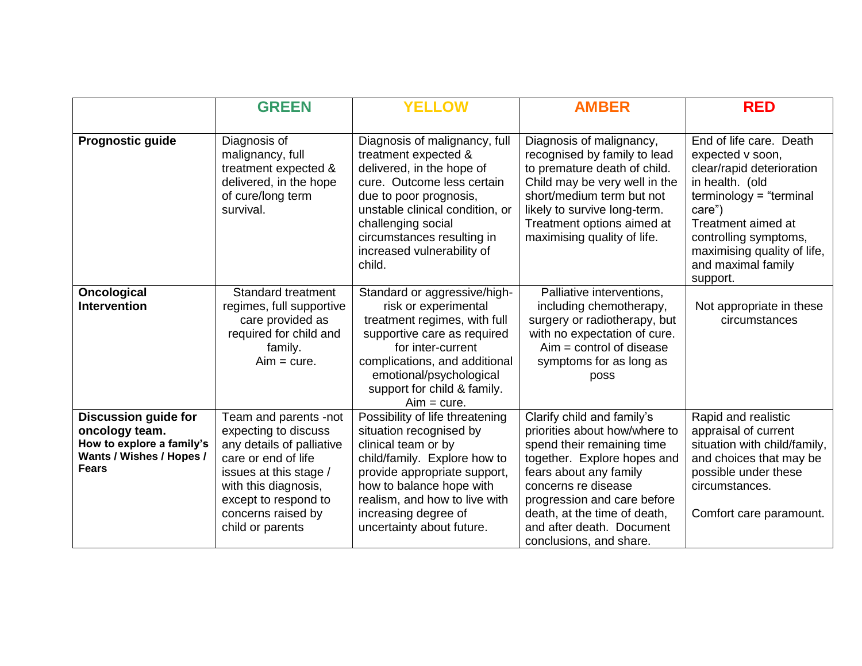|                                                                                                                        | <b>GREEN</b>                                                                                                                                                                                                          | <b>YELLOW</b>                                                                                                                                                                                                                                                             | <b>AMBER</b>                                                                                                                                                                                                                                                                                     | <b>RED</b>                                                                                                                                                                                                                                         |
|------------------------------------------------------------------------------------------------------------------------|-----------------------------------------------------------------------------------------------------------------------------------------------------------------------------------------------------------------------|---------------------------------------------------------------------------------------------------------------------------------------------------------------------------------------------------------------------------------------------------------------------------|--------------------------------------------------------------------------------------------------------------------------------------------------------------------------------------------------------------------------------------------------------------------------------------------------|----------------------------------------------------------------------------------------------------------------------------------------------------------------------------------------------------------------------------------------------------|
| Prognostic guide                                                                                                       | Diagnosis of<br>malignancy, full<br>treatment expected &<br>delivered, in the hope<br>of cure/long term<br>survival.                                                                                                  | Diagnosis of malignancy, full<br>treatment expected &<br>delivered, in the hope of<br>cure. Outcome less certain<br>due to poor prognosis,<br>unstable clinical condition, or<br>challenging social<br>circumstances resulting in<br>increased vulnerability of<br>child. | Diagnosis of malignancy,<br>recognised by family to lead<br>to premature death of child.<br>Child may be very well in the<br>short/medium term but not<br>likely to survive long-term.<br>Treatment options aimed at<br>maximising quality of life.                                              | End of life care. Death<br>expected v soon,<br>clear/rapid deterioration<br>in health. (old<br>$terminology = "terminal$<br>care")<br>Treatment aimed at<br>controlling symptoms,<br>maximising quality of life,<br>and maximal family<br>support. |
| <b>Oncological</b><br><b>Intervention</b>                                                                              | <b>Standard treatment</b><br>regimes, full supportive<br>care provided as<br>required for child and<br>family.<br>$Aim = cure.$                                                                                       | Standard or aggressive/high-<br>risk or experimental<br>treatment regimes, with full<br>supportive care as required<br>for inter-current<br>complications, and additional<br>emotional/psychological<br>support for child & family.<br>$Aim = cure.$                      | Palliative interventions,<br>including chemotherapy,<br>surgery or radiotherapy, but<br>with no expectation of cure.<br>$Aim = control of disease$<br>symptoms for as long as<br>poss                                                                                                            | Not appropriate in these<br>circumstances                                                                                                                                                                                                          |
| <b>Discussion guide for</b><br>oncology team.<br>How to explore a family's<br>Wants / Wishes / Hopes /<br><b>Fears</b> | Team and parents -not<br>expecting to discuss<br>any details of palliative<br>care or end of life<br>issues at this stage /<br>with this diagnosis,<br>except to respond to<br>concerns raised by<br>child or parents | Possibility of life threatening<br>situation recognised by<br>clinical team or by<br>child/family. Explore how to<br>provide appropriate support,<br>how to balance hope with<br>realism, and how to live with<br>increasing degree of<br>uncertainty about future.       | Clarify child and family's<br>priorities about how/where to<br>spend their remaining time<br>together. Explore hopes and<br>fears about any family<br>concerns re disease<br>progression and care before<br>death, at the time of death,<br>and after death. Document<br>conclusions, and share. | Rapid and realistic<br>appraisal of current<br>situation with child/family,<br>and choices that may be<br>possible under these<br>circumstances.<br>Comfort care paramount.                                                                        |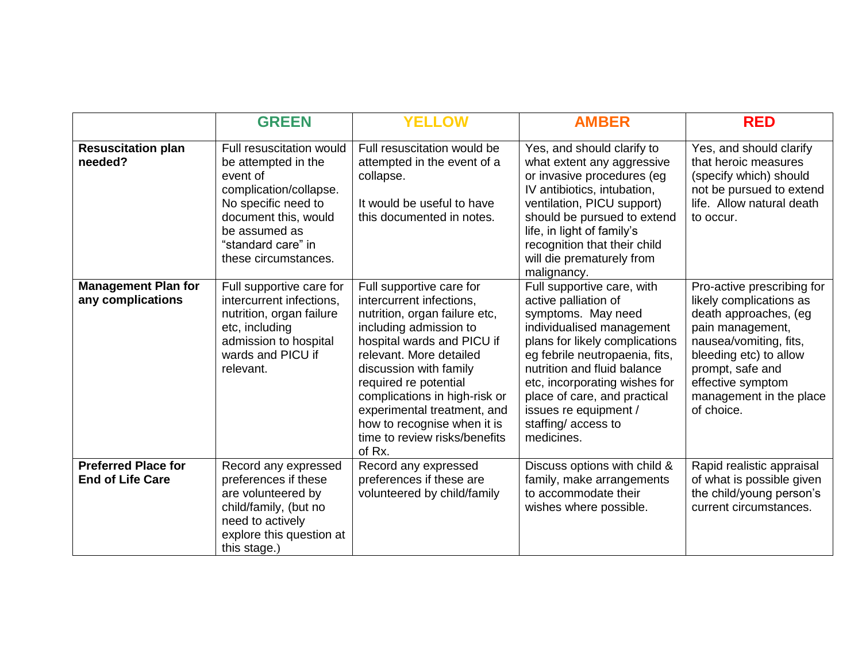|                                                       | <b>GREEN</b>                                                                                                                                                                                        | <b>YELLOW</b>                                                                                                                                                                                                                                                                                                                                                         | <b>AMBER</b>                                                                                                                                                                                                                                                                                                                           | <b>RED</b>                                                                                                                                                                                                                               |
|-------------------------------------------------------|-----------------------------------------------------------------------------------------------------------------------------------------------------------------------------------------------------|-----------------------------------------------------------------------------------------------------------------------------------------------------------------------------------------------------------------------------------------------------------------------------------------------------------------------------------------------------------------------|----------------------------------------------------------------------------------------------------------------------------------------------------------------------------------------------------------------------------------------------------------------------------------------------------------------------------------------|------------------------------------------------------------------------------------------------------------------------------------------------------------------------------------------------------------------------------------------|
| <b>Resuscitation plan</b><br>needed?                  | Full resuscitation would<br>be attempted in the<br>event of<br>complication/collapse.<br>No specific need to<br>document this, would<br>be assumed as<br>"standard care" in<br>these circumstances. | Full resuscitation would be<br>attempted in the event of a<br>collapse.<br>It would be useful to have<br>this documented in notes.                                                                                                                                                                                                                                    | Yes, and should clarify to<br>what extent any aggressive<br>or invasive procedures (eg<br>IV antibiotics, intubation,<br>ventilation, PICU support)<br>should be pursued to extend<br>life, in light of family's<br>recognition that their child<br>will die prematurely from<br>malignancy.                                           | Yes, and should clarify<br>that heroic measures<br>(specify which) should<br>not be pursued to extend<br>life. Allow natural death<br>to occur.                                                                                          |
| <b>Management Plan for</b><br>any complications       | Full supportive care for<br>intercurrent infections,<br>nutrition, organ failure<br>etc, including<br>admission to hospital<br>wards and PICU if<br>relevant.                                       | Full supportive care for<br>intercurrent infections,<br>nutrition, organ failure etc,<br>including admission to<br>hospital wards and PICU if<br>relevant. More detailed<br>discussion with family<br>required re potential<br>complications in high-risk or<br>experimental treatment, and<br>how to recognise when it is<br>time to review risks/benefits<br>of Rx. | Full supportive care, with<br>active palliation of<br>symptoms. May need<br>individualised management<br>plans for likely complications<br>eg febrile neutropaenia, fits,<br>nutrition and fluid balance<br>etc, incorporating wishes for<br>place of care, and practical<br>issues re equipment /<br>staffing/access to<br>medicines. | Pro-active prescribing for<br>likely complications as<br>death approaches, (eg<br>pain management,<br>nausea/vomiting, fits,<br>bleeding etc) to allow<br>prompt, safe and<br>effective symptom<br>management in the place<br>of choice. |
| <b>Preferred Place for</b><br><b>End of Life Care</b> | Record any expressed<br>preferences if these<br>are volunteered by<br>child/family, (but no<br>need to actively<br>explore this question at<br>this stage.)                                         | Record any expressed<br>preferences if these are<br>volunteered by child/family                                                                                                                                                                                                                                                                                       | Discuss options with child &<br>family, make arrangements<br>to accommodate their<br>wishes where possible.                                                                                                                                                                                                                            | Rapid realistic appraisal<br>of what is possible given<br>the child/young person's<br>current circumstances.                                                                                                                             |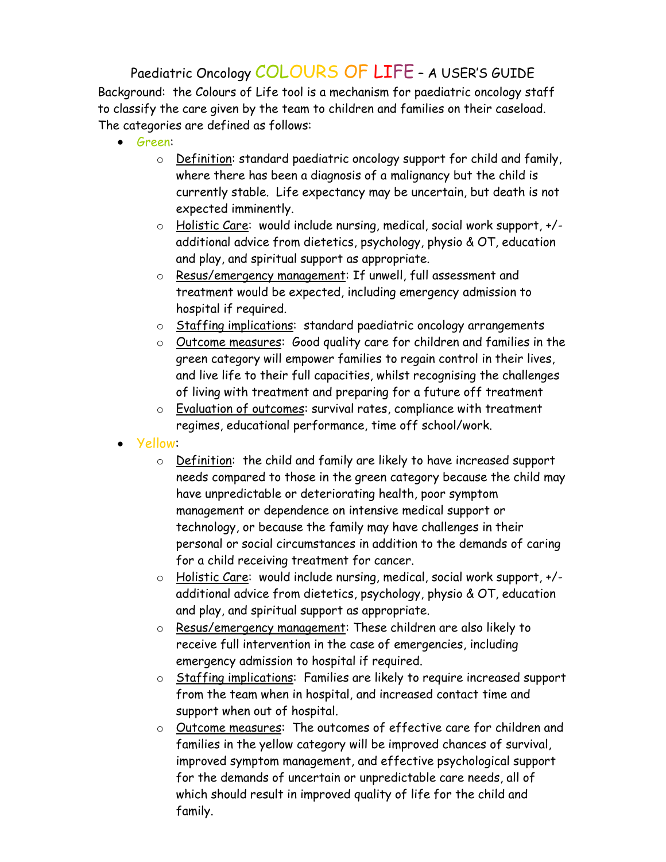Paediatric Oncology COLOURS OF LIFE – A USER'S GUIDE Background: the Colours of Life tool is a mechanism for paediatric oncology staff to classify the care given by the team to children and families on their caseload. The categories are defined as follows:

- Green:
	- o Definition: standard paediatric oncology support for child and family, where there has been a diagnosis of a malignancy but the child is currently stable. Life expectancy may be uncertain, but death is not expected imminently.
	- o Holistic Care: would include nursing, medical, social work support, +/ additional advice from dietetics, psychology, physio & OT, education and play, and spiritual support as appropriate.
	- o Resus/emergency management: If unwell, full assessment and treatment would be expected, including emergency admission to hospital if required.
	- o Staffing implications: standard paediatric oncology arrangements
	- o Outcome measures: Good quality care for children and families in the green category will empower families to regain control in their lives, and live life to their full capacities, whilst recognising the challenges of living with treatment and preparing for a future off treatment
	- o Evaluation of outcomes: survival rates, compliance with treatment regimes, educational performance, time off school/work.
- Yellow:
	- o Definition: the child and family are likely to have increased support needs compared to those in the green category because the child may have unpredictable or deteriorating health, poor symptom management or dependence on intensive medical support or technology, or because the family may have challenges in their personal or social circumstances in addition to the demands of caring for a child receiving treatment for cancer.
	- o Holistic Care: would include nursing, medical, social work support, +/ additional advice from dietetics, psychology, physio & OT, education and play, and spiritual support as appropriate.
	- o Resus/emergency management: These children are also likely to receive full intervention in the case of emergencies, including emergency admission to hospital if required.
	- o Staffing implications: Families are likely to require increased support from the team when in hospital, and increased contact time and support when out of hospital.
	- o Outcome measures: The outcomes of effective care for children and families in the yellow category will be improved chances of survival, improved symptom management, and effective psychological support for the demands of uncertain or unpredictable care needs, all of which should result in improved quality of life for the child and family.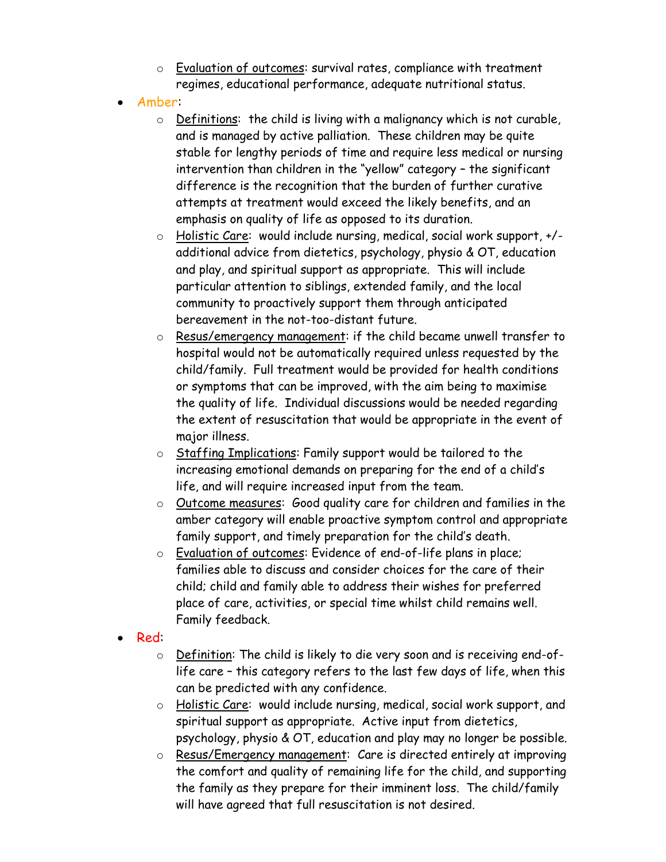- o Evaluation of outcomes: survival rates, compliance with treatment regimes, educational performance, adequate nutritional status.
- Amber:
	- o Definitions: the child is living with a malignancy which is not curable, and is managed by active palliation. These children may be quite stable for lengthy periods of time and require less medical or nursing intervention than children in the "yellow" category – the significant difference is the recognition that the burden of further curative attempts at treatment would exceed the likely benefits, and an emphasis on quality of life as opposed to its duration.
	- o Holistic Care: would include nursing, medical, social work support, +/ additional advice from dietetics, psychology, physio & OT, education and play, and spiritual support as appropriate. This will include particular attention to siblings, extended family, and the local community to proactively support them through anticipated bereavement in the not-too-distant future.
	- o Resus/emergency management: if the child became unwell transfer to hospital would not be automatically required unless requested by the child/family. Full treatment would be provided for health conditions or symptoms that can be improved, with the aim being to maximise the quality of life. Individual discussions would be needed regarding the extent of resuscitation that would be appropriate in the event of major illness.
	- o Staffing Implications: Family support would be tailored to the increasing emotional demands on preparing for the end of a child's life, and will require increased input from the team.
	- o Outcome measures: Good quality care for children and families in the amber category will enable proactive symptom control and appropriate family support, and timely preparation for the child's death.
	- o Evaluation of outcomes: Evidence of end-of-life plans in place; families able to discuss and consider choices for the care of their child; child and family able to address their wishes for preferred place of care, activities, or special time whilst child remains well. Family feedback.
- Red:
	- o Definition: The child is likely to die very soon and is receiving end-oflife care – this category refers to the last few days of life, when this can be predicted with any confidence.
	- o Holistic Care: would include nursing, medical, social work support, and spiritual support as appropriate. Active input from dietetics, psychology, physio & OT, education and play may no longer be possible.
	- o Resus/Emergency management: Care is directed entirely at improving the comfort and quality of remaining life for the child, and supporting the family as they prepare for their imminent loss. The child/family will have agreed that full resuscitation is not desired.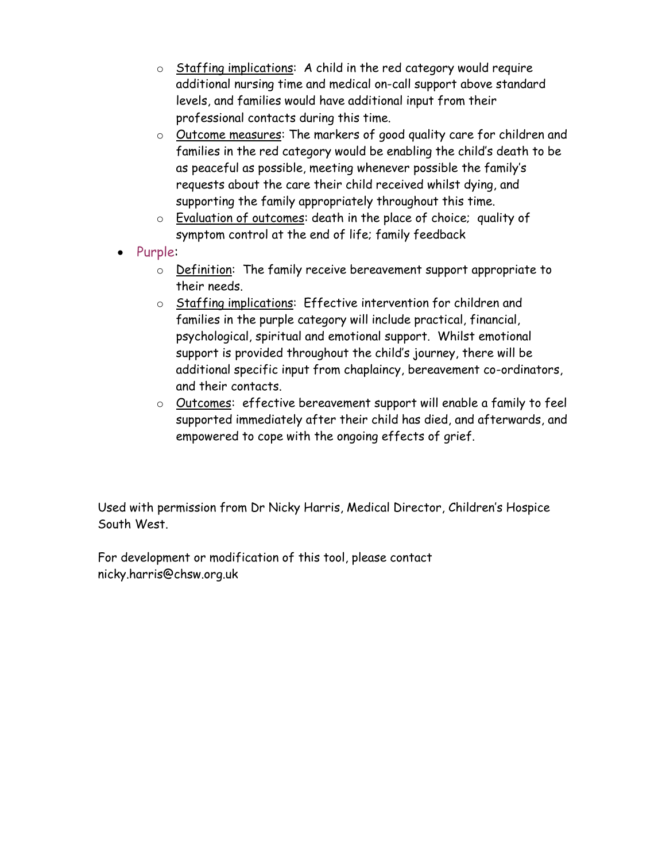- $\circ$  Staffing implications: A child in the red category would require additional nursing time and medical on-call support above standard levels, and families would have additional input from their professional contacts during this time.
- o Outcome measures: The markers of good quality care for children and families in the red category would be enabling the child's death to be as peaceful as possible, meeting whenever possible the family's requests about the care their child received whilst dying, and supporting the family appropriately throughout this time.
- o Evaluation of outcomes: death in the place of choice; quality of symptom control at the end of life; family feedback
- Purple:
	- o Definition: The family receive bereavement support appropriate to their needs.
	- o Staffing implications: Effective intervention for children and families in the purple category will include practical, financial, psychological, spiritual and emotional support. Whilst emotional support is provided throughout the child's journey, there will be additional specific input from chaplaincy, bereavement co-ordinators, and their contacts.
	- o Outcomes: effective bereavement support will enable a family to feel supported immediately after their child has died, and afterwards, and empowered to cope with the ongoing effects of grief.

Used with permission from Dr Nicky Harris, Medical Director, Children's Hospice South West.

For development or modification of this tool, please contact nicky.harris@chsw.org.uk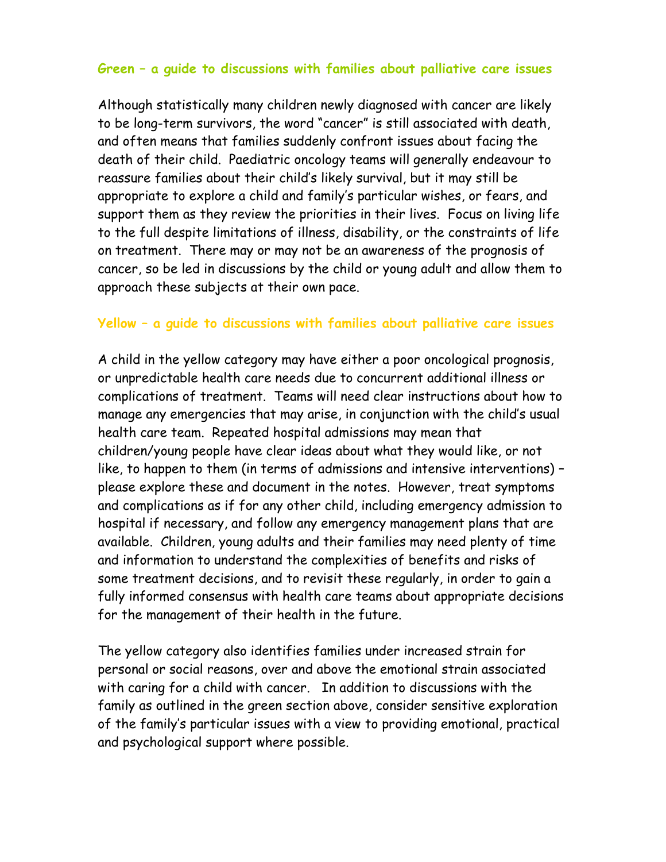## **Green – a guide to discussions with families about palliative care issues**

Although statistically many children newly diagnosed with cancer are likely to be long-term survivors, the word "cancer" is still associated with death, and often means that families suddenly confront issues about facing the death of their child. Paediatric oncology teams will generally endeavour to reassure families about their child's likely survival, but it may still be appropriate to explore a child and family's particular wishes, or fears, and support them as they review the priorities in their lives. Focus on living life to the full despite limitations of illness, disability, or the constraints of life on treatment. There may or may not be an awareness of the prognosis of cancer, so be led in discussions by the child or young adult and allow them to approach these subjects at their own pace.

## **Yellow – a guide to discussions with families about palliative care issues**

A child in the yellow category may have either a poor oncological prognosis, or unpredictable health care needs due to concurrent additional illness or complications of treatment. Teams will need clear instructions about how to manage any emergencies that may arise, in conjunction with the child's usual health care team. Repeated hospital admissions may mean that children/young people have clear ideas about what they would like, or not like, to happen to them (in terms of admissions and intensive interventions) – please explore these and document in the notes. However, treat symptoms and complications as if for any other child, including emergency admission to hospital if necessary, and follow any emergency management plans that are available. Children, young adults and their families may need plenty of time and information to understand the complexities of benefits and risks of some treatment decisions, and to revisit these regularly, in order to gain a fully informed consensus with health care teams about appropriate decisions for the management of their health in the future.

The yellow category also identifies families under increased strain for personal or social reasons, over and above the emotional strain associated with caring for a child with cancer. In addition to discussions with the family as outlined in the green section above, consider sensitive exploration of the family's particular issues with a view to providing emotional, practical and psychological support where possible.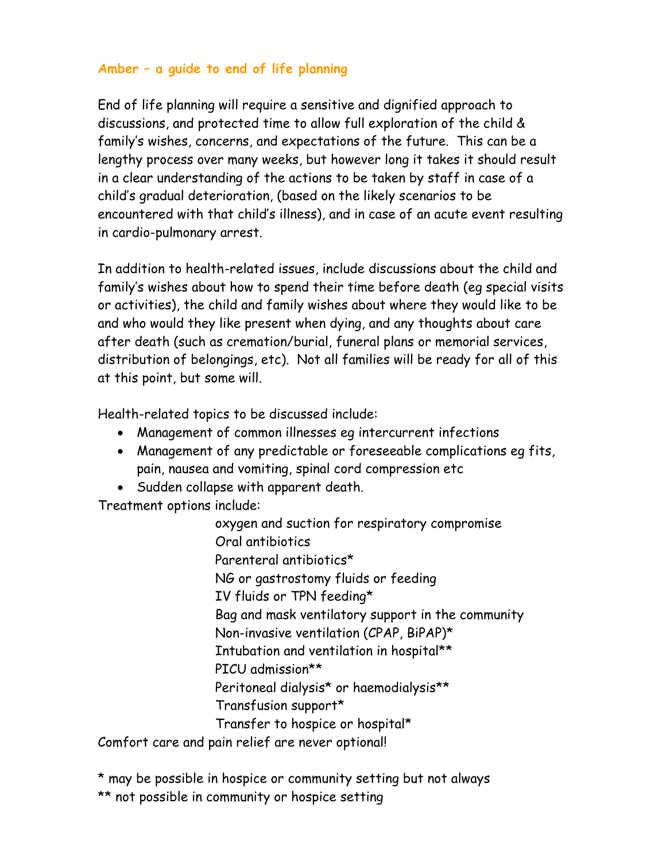## **Amber – a guide to end of life planning**

End of life planning will require a sensitive and dignified approach to discussions, and protected time to allow full exploration of the child & family's wishes, concerns, and expectations of the future. This can be a lengthy process over many weeks, but however long it takes it should result in a clear understanding of the actions to be taken by staff in case of a child's gradual deterioration, (based on the likely scenarios to be encountered with that child's illness), and in case of an acute event resulting in cardio-pulmonary arrest.

In addition to health-related issues, include discussions about the child and family's wishes about how to spend their time before death (eg special visits or activities), the child and family wishes about where they would like to be and who would they like present when dying, and any thoughts about care after death (such as cremation/burial, funeral plans or memorial services, distribution of belongings, etc). Not all families will be ready for all of this at this point, but some will.

Health-related topics to be discussed include:

- Management of common illnesses eg intercurrent infections
- Management of any predictable or foreseeable complications eg fits, pain, nausea and vomiting, spinal cord compression etc
- Sudden collapse with apparent death.

Treatment options include:

oxygen and suction for respiratory compromise Oral antibiotics Parenteral antibiotics\* NG or gastrostomy fluids or feeding IV fluids or TPN feeding\* Bag and mask ventilatory support in the community Non-invasive ventilation (CPAP, BiPAP)\* Intubation and ventilation in hospital\*\* PICU admission\*\* Peritoneal dialysis\* or haemodialysis\*\* Transfusion support\* Transfer to hospice or hospital\*

Comfort care and pain relief are never optional!

\* may be possible in hospice or community setting but not always \*\* not possible in community or hospice setting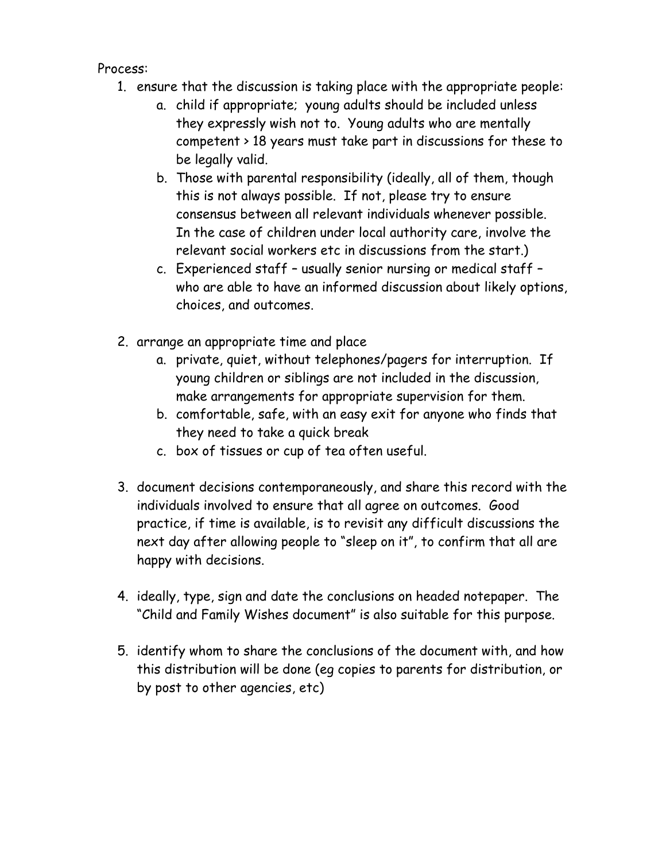Process:

- 1. ensure that the discussion is taking place with the appropriate people:
	- a. child if appropriate; young adults should be included unless they expressly wish not to. Young adults who are mentally competent > 18 years must take part in discussions for these to be legally valid.
	- b. Those with parental responsibility (ideally, all of them, though this is not always possible. If not, please try to ensure consensus between all relevant individuals whenever possible. In the case of children under local authority care, involve the relevant social workers etc in discussions from the start.)
	- c. Experienced staff usually senior nursing or medical staff who are able to have an informed discussion about likely options, choices, and outcomes.
- 2. arrange an appropriate time and place
	- a. private, quiet, without telephones/pagers for interruption. If young children or siblings are not included in the discussion, make arrangements for appropriate supervision for them.
	- b. comfortable, safe, with an easy exit for anyone who finds that they need to take a quick break
	- c. box of tissues or cup of tea often useful.
- 3. document decisions contemporaneously, and share this record with the individuals involved to ensure that all agree on outcomes. Good practice, if time is available, is to revisit any difficult discussions the next day after allowing people to "sleep on it", to confirm that all are happy with decisions.
- 4. ideally, type, sign and date the conclusions on headed notepaper. The "Child and Family Wishes document" is also suitable for this purpose.
- 5. identify whom to share the conclusions of the document with, and how this distribution will be done (eg copies to parents for distribution, or by post to other agencies, etc)